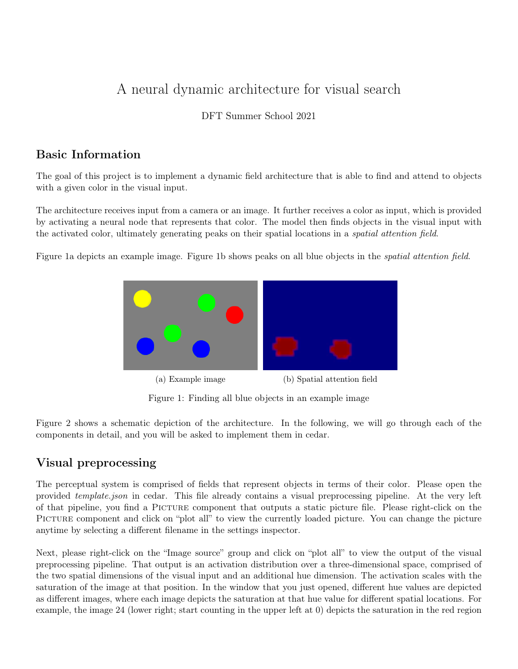# A neural dynamic architecture for visual search

DFT Summer School 2021

# Basic Information

The goal of this project is to implement a dynamic field architecture that is able to find and attend to objects with a given color in the visual input.

The architecture receives input from a camera or an image. It further receives a color as input, which is provided by activating a neural node that represents that color. The model then finds objects in the visual input with the activated color, ultimately generating peaks on their spatial locations in a spatial attention field.

Figure 1a depicts an example image. Figure 1b shows peaks on all blue objects in the spatial attention field.



Figure 1: Finding all blue objects in an example image

Figure 2 shows a schematic depiction of the architecture. In the following, we will go through each of the components in detail, and you will be asked to implement them in cedar.

# Visual preprocessing

The perceptual system is comprised of fields that represent objects in terms of their color. Please open the provided template.json in cedar. This file already contains a visual preprocessing pipeline. At the very left of that pipeline, you find a Picture component that outputs a static picture file. Please right-click on the PICTURE component and click on "plot all" to view the currently loaded picture. You can change the picture anytime by selecting a different filename in the settings inspector.

Next, please right-click on the "Image source" group and click on "plot all" to view the output of the visual preprocessing pipeline. That output is an activation distribution over a three-dimensional space, comprised of the two spatial dimensions of the visual input and an additional hue dimension. The activation scales with the saturation of the image at that position. In the window that you just opened, different hue values are depicted as different images, where each image depicts the saturation at that hue value for different spatial locations. For example, the image 24 (lower right; start counting in the upper left at 0) depicts the saturation in the red region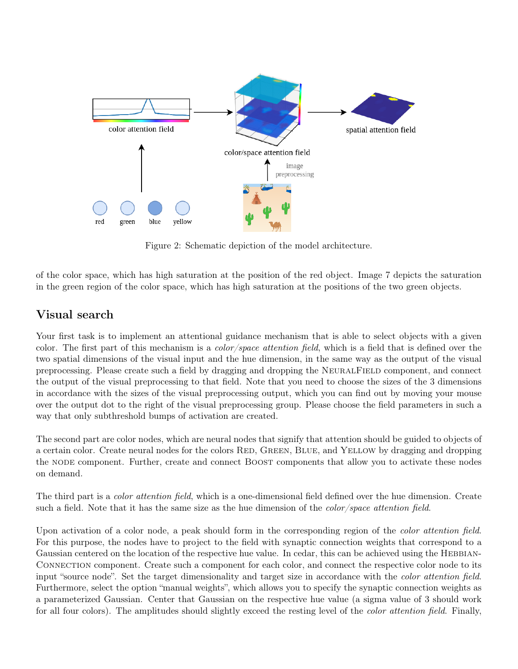

Figure 2: Schematic depiction of the model architecture.

of the color space, which has high saturation at the position of the red object. Image 7 depicts the saturation in the green region of the color space, which has high saturation at the positions of the two green objects.

# Visual search

Your first task is to implement an attentional guidance mechanism that is able to select objects with a given color. The first part of this mechanism is a color/space attention field, which is a field that is defined over the two spatial dimensions of the visual input and the hue dimension, in the same way as the output of the visual preprocessing. Please create such a field by dragging and dropping the NeuralField component, and connect the output of the visual preprocessing to that field. Note that you need to choose the sizes of the 3 dimensions in accordance with the sizes of the visual preprocessing output, which you can find out by moving your mouse over the output dot to the right of the visual preprocessing group. Please choose the field parameters in such a way that only subthreshold bumps of activation are created.

The second part are color nodes, which are neural nodes that signify that attention should be guided to objects of a certain color. Create neural nodes for the colors RED, GREEN, BLUE, and YELLOW by dragging and dropping the NODE component. Further, create and connect BOOST components that allow you to activate these nodes on demand.

The third part is a *color attention field*, which is a one-dimensional field defined over the hue dimension. Create such a field. Note that it has the same size as the hue dimension of the *color/space attention field*.

Upon activation of a color node, a peak should form in the corresponding region of the *color attention field*. For this purpose, the nodes have to project to the field with synaptic connection weights that correspond to a Gaussian centered on the location of the respective hue value. In cedar, this can be achieved using the HEBBIAN-Connection component. Create such a component for each color, and connect the respective color node to its input "source node". Set the target dimensionality and target size in accordance with the *color attention field.* Furthermore, select the option "manual weights", which allows you to specify the synaptic connection weights as a parameterized Gaussian. Center that Gaussian on the respective hue value (a sigma value of 3 should work for all four colors). The amplitudes should slightly exceed the resting level of the *color attention field*. Finally,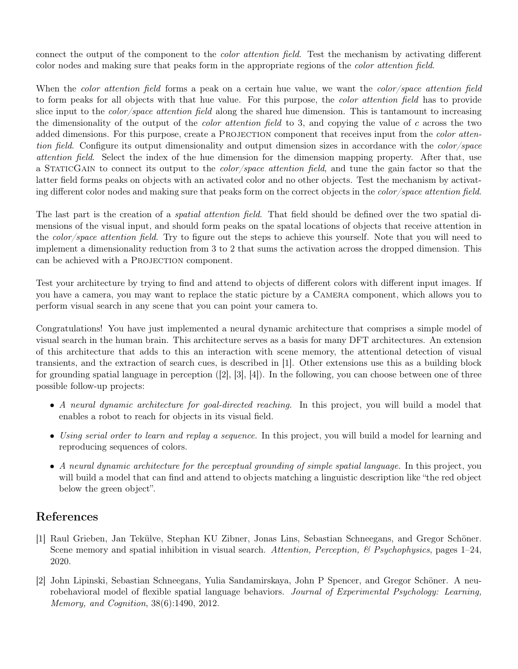connect the output of the component to the color attention field. Test the mechanism by activating different color nodes and making sure that peaks form in the appropriate regions of the color attention field.

When the *color attention field* forms a peak on a certain hue value, we want the *color/space attention field* to form peaks for all objects with that hue value. For this purpose, the color attention field has to provide slice input to the *color/space attention field* along the shared hue dimension. This is tantamount to increasing the dimensionality of the output of the *color attention field* to 3, and copying the value of c across the two added dimensions. For this purpose, create a PROJECTION component that receives input from the *color atten*tion field. Configure its output dimensionality and output dimension sizes in accordance with the *color/space* attention field. Select the index of the hue dimension for the dimension mapping property. After that, use a StaticGain to connect its output to the color/space attention field, and tune the gain factor so that the latter field forms peaks on objects with an activated color and no other objects. Test the mechanism by activating different color nodes and making sure that peaks form on the correct objects in the color/space attention field.

The last part is the creation of a *spatial attention field*. That field should be defined over the two spatial dimensions of the visual input, and should form peaks on the spatal locations of objects that receive attention in the color/space attention field. Try to figure out the steps to achieve this yourself. Note that you will need to implement a dimensionality reduction from 3 to 2 that sums the activation across the dropped dimension. This can be achieved with a PROJECTION component.

Test your architecture by trying to find and attend to objects of different colors with different input images. If you have a camera, you may want to replace the static picture by a Camera component, which allows you to perform visual search in any scene that you can point your camera to.

Congratulations! You have just implemented a neural dynamic architecture that comprises a simple model of visual search in the human brain. This architecture serves as a basis for many DFT architectures. An extension of this architecture that adds to this an interaction with scene memory, the attentional detection of visual transients, and the extraction of search cues, is described in [1]. Other extensions use this as a building block for grounding spatial language in perception ([2], [3], [4]). In the following, you can choose between one of three possible follow-up projects:

- A neural dynamic architecture for goal-directed reaching. In this project, you will build a model that enables a robot to reach for objects in its visual field.
- Using serial order to learn and replay a sequence. In this project, you will build a model for learning and reproducing sequences of colors.
- A neural dynamic architecture for the perceptual grounding of simple spatial language. In this project, you will build a model that can find and attend to objects matching a linguistic description like "the red object below the green object".

# References

- [1] Raul Grieben, Jan Tekülve, Stephan KU Zibner, Jonas Lins, Sebastian Schneegans, and Gregor Schöner. Scene memory and spatial inhibition in visual search. Attention, Perception,  $\mathscr B$  Psychophysics, pages 1–24, 2020.
- [2] John Lipinski, Sebastian Schneegans, Yulia Sandamirskaya, John P Spencer, and Gregor Schöner. A neurobehavioral model of flexible spatial language behaviors. Journal of Experimental Psychology: Learning, Memory, and Cognition, 38(6):1490, 2012.